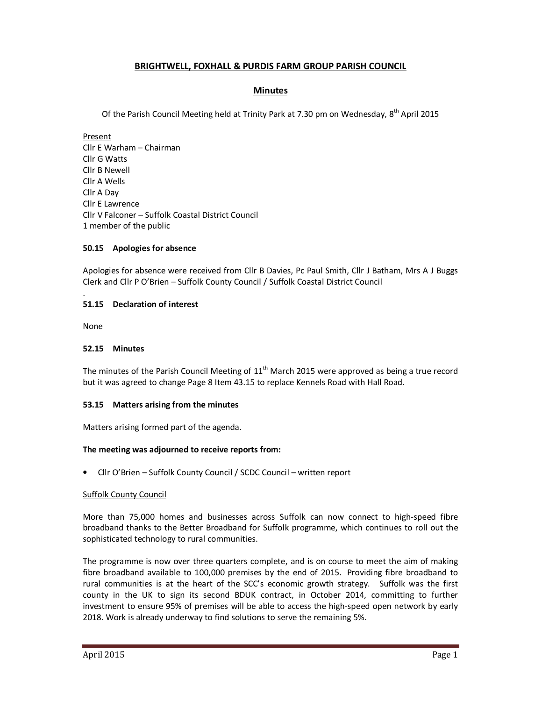# **BRIGHTWELL, FOXHALL & PURDIS FARM GROUP PARISH COUNCIL**

## **Minutes**

Of the Parish Council Meeting held at Trinity Park at 7.30 pm on Wednesday, 8<sup>th</sup> April 2015

Present Cllr E Warham – Chairman Cllr G Watts Cllr B Newell Cllr A Wells Cllr A Day Cllr E Lawrence Cllr V Falconer – Suffolk Coastal District Council 1 member of the public

### **50.15 Apologies for absence**

Apologies for absence were received from Cllr B Davies, Pc Paul Smith, Cllr J Batham, Mrs A J Buggs Clerk and Cllr P O'Brien – Suffolk County Council / Suffolk Coastal District Council

#### **51.15 Declaration of interest**

None

.

#### **52.15 Minutes**

The minutes of the Parish Council Meeting of  $11<sup>th</sup>$  March 2015 were approved as being a true record but it was agreed to change Page 8 Item 43.15 to replace Kennels Road with Hall Road.

#### **53.15 Matters arising from the minutes**

Matters arising formed part of the agenda.

#### **The meeting was adjourned to receive reports from:**

• Cllr O'Brien – Suffolk County Council / SCDC Council – written report

#### Suffolk County Council

More than 75,000 homes and businesses across Suffolk can now connect to high-speed fibre broadband thanks to the Better Broadband for Suffolk programme, which continues to roll out the sophisticated technology to rural communities.

The programme is now over three quarters complete, and is on course to meet the aim of making fibre broadband available to 100,000 premises by the end of 2015. Providing fibre broadband to rural communities is at the heart of the SCC's economic growth strategy. Suffolk was the first county in the UK to sign its second BDUK contract, in October 2014, committing to further investment to ensure 95% of premises will be able to access the high-speed open network by early 2018. Work is already underway to find solutions to serve the remaining 5%.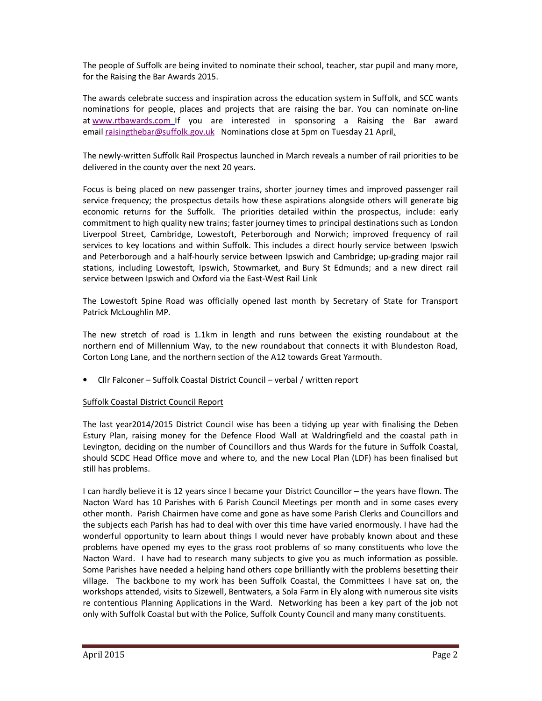The people of Suffolk are being invited to nominate their school, teacher, star pupil and many more, for the Raising the Bar Awards 2015.

The awards celebrate success and inspiration across the education system in Suffolk, and SCC wants nominations for people, places and projects that are raising the bar. You can nominate on-line at www.rtbawards.com If you are interested in sponsoring a Raising the Bar award email raisingthebar@suffolk.gov.uk Nominations close at 5pm on Tuesday 21 April.

The newly-written Suffolk Rail Prospectus launched in March reveals a number of rail priorities to be delivered in the county over the next 20 years.

Focus is being placed on new passenger trains, shorter journey times and improved passenger rail service frequency; the prospectus details how these aspirations alongside others will generate big economic returns for the Suffolk. The priorities detailed within the prospectus, include: early commitment to high quality new trains; faster journey times to principal destinations such as London Liverpool Street, Cambridge, Lowestoft, Peterborough and Norwich; improved frequency of rail services to key locations and within Suffolk. This includes a direct hourly service between Ipswich and Peterborough and a half-hourly service between Ipswich and Cambridge; up-grading major rail stations, including Lowestoft, Ipswich, Stowmarket, and Bury St Edmunds; and a new direct rail service between Ipswich and Oxford via the East-West Rail Link

The Lowestoft Spine Road was officially opened last month by Secretary of State for Transport Patrick McLoughlin MP.

The new stretch of road is 1.1km in length and runs between the existing roundabout at the northern end of Millennium Way, to the new roundabout that connects it with Blundeston Road, Corton Long Lane, and the northern section of the A12 towards Great Yarmouth.

• Cllr Falconer – Suffolk Coastal District Council – verbal / written report

### Suffolk Coastal District Council Report

The last year2014/2015 District Council wise has been a tidying up year with finalising the Deben Estury Plan, raising money for the Defence Flood Wall at Waldringfield and the coastal path in Levington, deciding on the number of Councillors and thus Wards for the future in Suffolk Coastal, should SCDC Head Office move and where to, and the new Local Plan (LDF) has been finalised but still has problems.

I can hardly believe it is 12 years since I became your District Councillor – the years have flown. The Nacton Ward has 10 Parishes with 6 Parish Council Meetings per month and in some cases every other month. Parish Chairmen have come and gone as have some Parish Clerks and Councillors and the subjects each Parish has had to deal with over this time have varied enormously. I have had the wonderful opportunity to learn about things I would never have probably known about and these problems have opened my eyes to the grass root problems of so many constituents who love the Nacton Ward. I have had to research many subjects to give you as much information as possible. Some Parishes have needed a helping hand others cope brilliantly with the problems besetting their village. The backbone to my work has been Suffolk Coastal, the Committees I have sat on, the workshops attended, visits to Sizewell, Bentwaters, a Sola Farm in Ely along with numerous site visits re contentious Planning Applications in the Ward. Networking has been a key part of the job not only with Suffolk Coastal but with the Police, Suffolk County Council and many many constituents.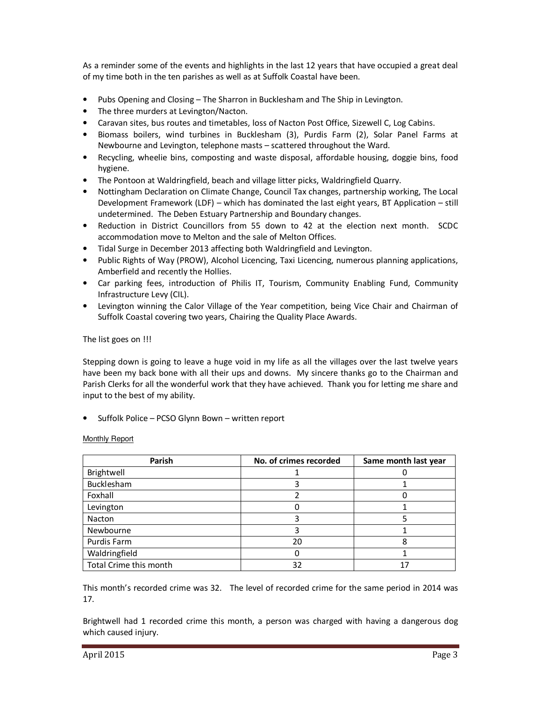As a reminder some of the events and highlights in the last 12 years that have occupied a great deal of my time both in the ten parishes as well as at Suffolk Coastal have been.

- Pubs Opening and Closing The Sharron in Bucklesham and The Ship in Levington.
- The three murders at Levington/Nacton.
- Caravan sites, bus routes and timetables, loss of Nacton Post Office, Sizewell C, Log Cabins.
- Biomass boilers, wind turbines in Bucklesham (3), Purdis Farm (2), Solar Panel Farms at Newbourne and Levington, telephone masts – scattered throughout the Ward.
- Recycling, wheelie bins, composting and waste disposal, affordable housing, doggie bins, food hygiene.
- The Pontoon at Waldringfield, beach and village litter picks, Waldringfield Quarry.
- Nottingham Declaration on Climate Change, Council Tax changes, partnership working, The Local Development Framework (LDF) – which has dominated the last eight years, BT Application – still undetermined. The Deben Estuary Partnership and Boundary changes.
- Reduction in District Councillors from 55 down to 42 at the election next month. SCDC accommodation move to Melton and the sale of Melton Offices.
- Tidal Surge in December 2013 affecting both Waldringfield and Levington.
- Public Rights of Way (PROW), Alcohol Licencing, Taxi Licencing, numerous planning applications, Amberfield and recently the Hollies.
- Car parking fees, introduction of Philis IT, Tourism, Community Enabling Fund, Community Infrastructure Levy (CIL).
- Levington winning the Calor Village of the Year competition, being Vice Chair and Chairman of Suffolk Coastal covering two years, Chairing the Quality Place Awards.

The list goes on !!!

Stepping down is going to leave a huge void in my life as all the villages over the last twelve years have been my back bone with all their ups and downs. My sincere thanks go to the Chairman and Parish Clerks for all the wonderful work that they have achieved. Thank you for letting me share and input to the best of my ability.

• Suffolk Police – PCSO Glynn Bown – written report

Monthly Report

| Parish                 | No. of crimes recorded | Same month last year |
|------------------------|------------------------|----------------------|
| Brightwell             |                        |                      |
| Bucklesham             |                        |                      |
| Foxhall                |                        |                      |
| Levington              |                        |                      |
| Nacton                 |                        |                      |
| Newbourne              |                        |                      |
| Purdis Farm            | 20                     |                      |
| Waldringfield          |                        |                      |
| Total Crime this month | 32                     | 17                   |

This month's recorded crime was 32. The level of recorded crime for the same period in 2014 was 17.

Brightwell had 1 recorded crime this month, a person was charged with having a dangerous dog which caused injury.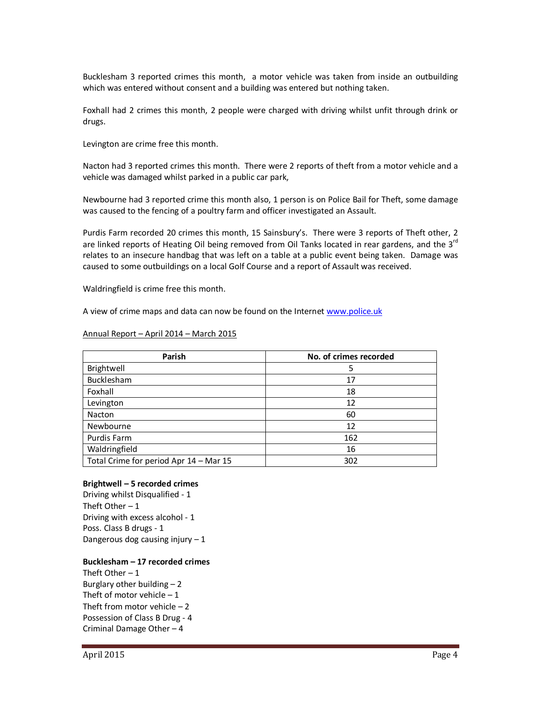Bucklesham 3 reported crimes this month, a motor vehicle was taken from inside an outbuilding which was entered without consent and a building was entered but nothing taken.

Foxhall had 2 crimes this month, 2 people were charged with driving whilst unfit through drink or drugs.

Levington are crime free this month.

Nacton had 3 reported crimes this month. There were 2 reports of theft from a motor vehicle and a vehicle was damaged whilst parked in a public car park,

Newbourne had 3 reported crime this month also, 1 person is on Police Bail for Theft, some damage was caused to the fencing of a poultry farm and officer investigated an Assault.

Purdis Farm recorded 20 crimes this month, 15 Sainsbury's. There were 3 reports of Theft other, 2 are linked reports of Heating Oil being removed from Oil Tanks located in rear gardens, and the 3<sup>rd</sup> relates to an insecure handbag that was left on a table at a public event being taken. Damage was caused to some outbuildings on a local Golf Course and a report of Assault was received.

Waldringfield is crime free this month.

A view of crime maps and data can now be found on the Internet www.police.uk

#### Annual Report – April 2014 – March 2015

| Parish                                 | No. of crimes recorded |
|----------------------------------------|------------------------|
| Brightwell                             | 5                      |
| Bucklesham                             | 17                     |
| Foxhall                                | 18                     |
| Levington                              | 12                     |
| Nacton                                 | 60                     |
| Newbourne                              | 12                     |
| Purdis Farm                            | 162                    |
| Waldringfield                          | 16                     |
| Total Crime for period Apr 14 - Mar 15 | 302                    |

#### **Brightwell – 5 recorded crimes**

Driving whilst Disqualified - 1 Theft Other  $-1$ Driving with excess alcohol - 1 Poss. Class B drugs - 1 Dangerous dog causing injury  $-1$ 

#### **Bucklesham – 17 recorded crimes**

Theft Other  $-1$ Burglary other building  $-2$ Theft of motor vehicle  $-1$ Theft from motor vehicle  $-2$ Possession of Class B Drug - 4 Criminal Damage Other – 4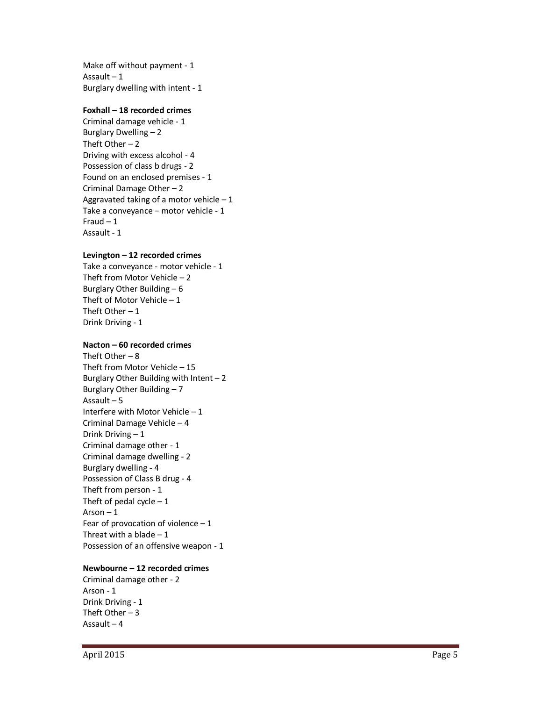Make off without payment - 1 Assault  $-1$ Burglary dwelling with intent - 1

### **Foxhall – 18 recorded crimes**

Criminal damage vehicle - 1 Burglary Dwelling – 2 Theft Other  $-2$ Driving with excess alcohol - 4 Possession of class b drugs - 2 Found on an enclosed premises - 1 Criminal Damage Other – 2 Aggravated taking of a motor vehicle  $-1$ Take a conveyance – motor vehicle - 1 Fraud  $-1$ Assault - 1

### **Levington – 12 recorded crimes**

Take a conveyance - motor vehicle - 1 Theft from Motor Vehicle – 2 Burglary Other Building – 6 Theft of Motor Vehicle  $-1$ Theft Other  $-1$ Drink Driving - 1

### **Nacton – 60 recorded crimes**

Theft Other  $-8$ Theft from Motor Vehicle – 15 Burglary Other Building with Intent  $-2$ Burglary Other Building – 7 Assault – 5 Interfere with Motor Vehicle – 1 Criminal Damage Vehicle – 4 Drink Driving – 1 Criminal damage other - 1 Criminal damage dwelling - 2 Burglary dwelling - 4 Possession of Class B drug - 4 Theft from person - 1 Theft of pedal cycle  $-1$ Arson  $-1$ Fear of provocation of violence  $-1$ Threat with a blade  $-1$ Possession of an offensive weapon - 1

### **Newbourne – 12 recorded crimes**

Criminal damage other - 2 Arson - 1 Drink Driving - 1 Theft Other  $-3$ Assault – 4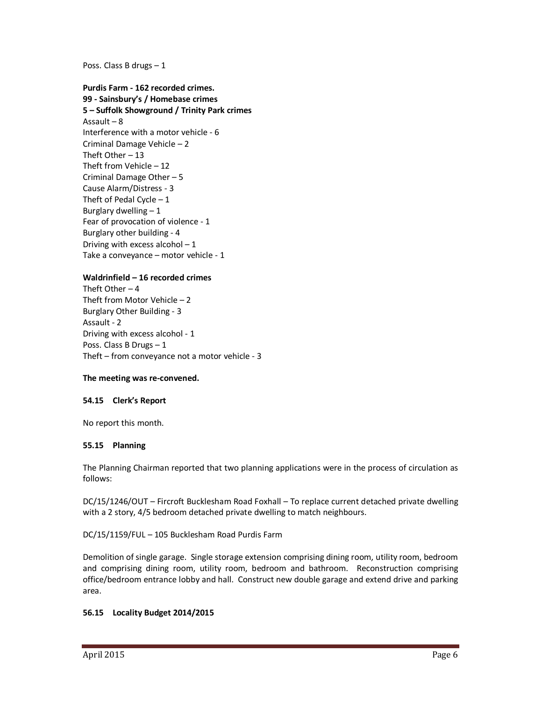Poss. Class B drugs – 1

**Purdis Farm - 162 recorded crimes. 99 - Sainsbury's / Homebase crimes 5 – Suffolk Showground / Trinity Park crimes**  Assault – 8 Interference with a motor vehicle - 6 Criminal Damage Vehicle – 2 Theft Other – 13 Theft from Vehicle – 12 Criminal Damage Other – 5 Cause Alarm/Distress - 3 Theft of Pedal Cycle  $-1$ Burglary dwelling  $-1$ Fear of provocation of violence - 1 Burglary other building - 4 Driving with excess alcohol  $-1$ Take a conveyance – motor vehicle - 1

### **Waldrinfield – 16 recorded crimes**

Theft Other  $-4$ Theft from Motor Vehicle – 2 Burglary Other Building - 3 Assault - 2 Driving with excess alcohol - 1 Poss. Class B Drugs – 1 Theft – from conveyance not a motor vehicle - 3

#### **The meeting was re-convened.**

#### **54.15 Clerk's Report**

No report this month.

#### **55.15 Planning**

The Planning Chairman reported that two planning applications were in the process of circulation as follows:

DC/15/1246/OUT – Fircroft Bucklesham Road Foxhall – To replace current detached private dwelling with a 2 story, 4/5 bedroom detached private dwelling to match neighbours.

DC/15/1159/FUL – 105 Bucklesham Road Purdis Farm

Demolition of single garage. Single storage extension comprising dining room, utility room, bedroom and comprising dining room, utility room, bedroom and bathroom. Reconstruction comprising office/bedroom entrance lobby and hall. Construct new double garage and extend drive and parking area.

#### **56.15 Locality Budget 2014/2015**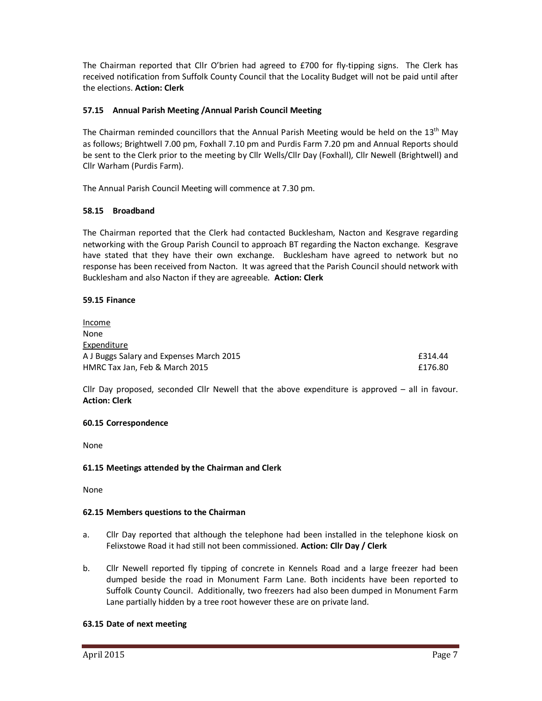The Chairman reported that Cllr O'brien had agreed to £700 for fly-tipping signs. The Clerk has received notification from Suffolk County Council that the Locality Budget will not be paid until after the elections. **Action: Clerk** 

## **57.15 Annual Parish Meeting /Annual Parish Council Meeting**

The Chairman reminded councillors that the Annual Parish Meeting would be held on the 13<sup>th</sup> May as follows; Brightwell 7.00 pm, Foxhall 7.10 pm and Purdis Farm 7.20 pm and Annual Reports should be sent to the Clerk prior to the meeting by Cllr Wells/Cllr Day (Foxhall), Cllr Newell (Brightwell) and Cllr Warham (Purdis Farm).

The Annual Parish Council Meeting will commence at 7.30 pm.

### **58.15 Broadband**

The Chairman reported that the Clerk had contacted Bucklesham, Nacton and Kesgrave regarding networking with the Group Parish Council to approach BT regarding the Nacton exchange. Kesgrave have stated that they have their own exchange. Bucklesham have agreed to network but no response has been received from Nacton. It was agreed that the Parish Council should network with Bucklesham and also Nacton if they are agreeable. **Action: Clerk**

### **59.15 Finance**

Income None Expenditure A J Buggs Salary and Expenses March 2015 **E314.44** HMRC Tax Jan, Feb & March 2015 **Example 2015 Example 2016 E176.80** 

Cllr Day proposed, seconded Cllr Newell that the above expenditure is approved – all in favour. **Action: Clerk** 

### **60.15 Correspondence**

None

### **61.15 Meetings attended by the Chairman and Clerk**

None

### **62.15 Members questions to the Chairman**

- a. Cllr Day reported that although the telephone had been installed in the telephone kiosk on Felixstowe Road it had still not been commissioned. **Action: Cllr Day / Clerk**
- b. Cllr Newell reported fly tipping of concrete in Kennels Road and a large freezer had been dumped beside the road in Monument Farm Lane. Both incidents have been reported to Suffolk County Council. Additionally, two freezers had also been dumped in Monument Farm Lane partially hidden by a tree root however these are on private land.

### **63.15 Date of next meeting**